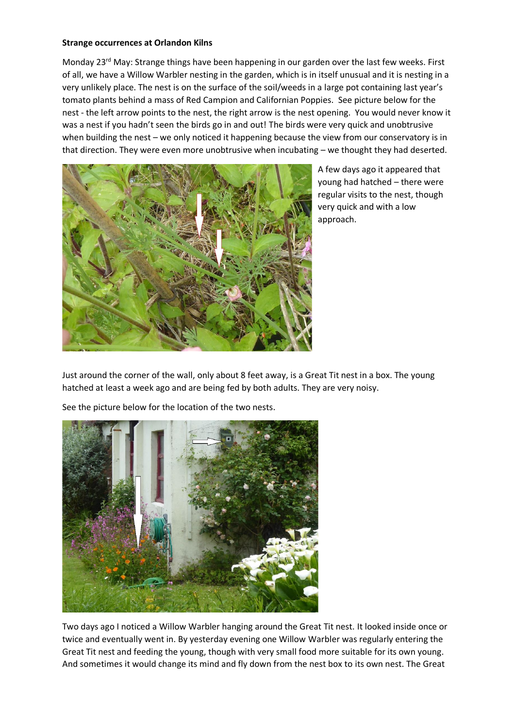## **Strange occurrences at Orlandon Kilns**

Monday 23<sup>rd</sup> May: Strange things have been happening in our garden over the last few weeks. First of all, we have a Willow Warbler nesting in the garden, which is in itself unusual and it is nesting in a very unlikely place. The nest is on the surface of the soil/weeds in a large pot containing last year's tomato plants behind a mass of Red Campion and Californian Poppies. See picture below for the nest - the left arrow points to the nest, the right arrow is the nest opening. You would never know it was a nest if you hadn't seen the birds go in and out! The birds were very quick and unobtrusive when building the nest – we only noticed it happening because the view from our conservatory is in that direction. They were even more unobtrusive when incubating – we thought they had deserted.



A few days ago it appeared that young had hatched – there were regular visits to the nest, though very quick and with a low approach.

Just around the corner of the wall, only about 8 feet away, is a Great Tit nest in a box. The young hatched at least a week ago and are being fed by both adults. They are very noisy.





Two days ago I noticed a Willow Warbler hanging around the Great Tit nest. It looked inside once or twice and eventually went in. By yesterday evening one Willow Warbler was regularly entering the Great Tit nest and feeding the young, though with very small food more suitable for its own young. And sometimes it would change its mind and fly down from the nest box to its own nest. The Great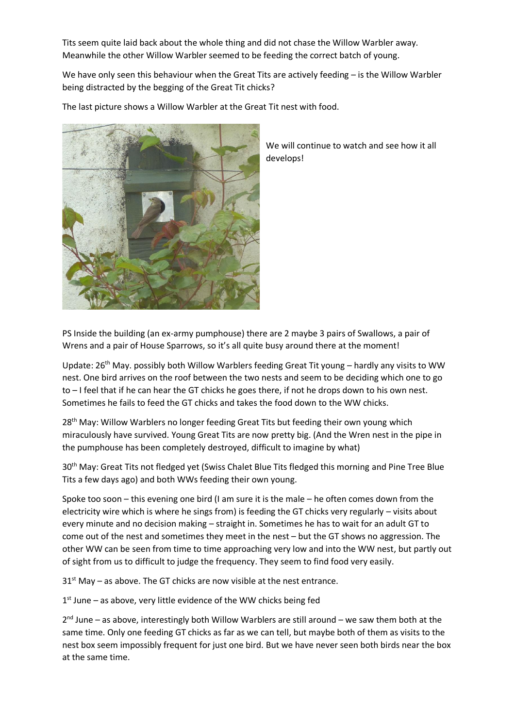Tits seem quite laid back about the whole thing and did not chase the Willow Warbler away. Meanwhile the other Willow Warbler seemed to be feeding the correct batch of young.

We have only seen this behaviour when the Great Tits are actively feeding – is the Willow Warbler being distracted by the begging of the Great Tit chicks?

The last picture shows a Willow Warbler at the Great Tit nest with food.



We will continue to watch and see how it all develops!

PS Inside the building (an ex-army pumphouse) there are 2 maybe 3 pairs of Swallows, a pair of Wrens and a pair of House Sparrows, so it's all quite busy around there at the moment!

Update: 26<sup>th</sup> May. possibly both Willow Warblers feeding Great Tit young – hardly any visits to WW nest. One bird arrives on the roof between the two nests and seem to be deciding which one to go to – I feel that if he can hear the GT chicks he goes there, if not he drops down to his own nest. Sometimes he fails to feed the GT chicks and takes the food down to the WW chicks.

28<sup>th</sup> May: Willow Warblers no longer feeding Great Tits but feeding their own young which miraculously have survived. Young Great Tits are now pretty big. (And the Wren nest in the pipe in the pumphouse has been completely destroyed, difficult to imagine by what)

30<sup>th</sup> May: Great Tits not fledged yet (Swiss Chalet Blue Tits fledged this morning and Pine Tree Blue Tits a few days ago) and both WWs feeding their own young.

Spoke too soon – this evening one bird (I am sure it is the male – he often comes down from the electricity wire which is where he sings from) is feeding the GT chicks very regularly – visits about every minute and no decision making – straight in. Sometimes he has to wait for an adult GT to come out of the nest and sometimes they meet in the nest – but the GT shows no aggression. The other WW can be seen from time to time approaching very low and into the WW nest, but partly out of sight from us to difficult to judge the frequency. They seem to find food very easily.

 $31<sup>st</sup>$  May – as above. The GT chicks are now visible at the nest entrance.

1<sup>st</sup> June - as above, very little evidence of the WW chicks being fed

2<sup>nd</sup> June – as above, interestingly both Willow Warblers are still around – we saw them both at the same time. Only one feeding GT chicks as far as we can tell, but maybe both of them as visits to the nest box seem impossibly frequent for just one bird. But we have never seen both birds near the box at the same time.